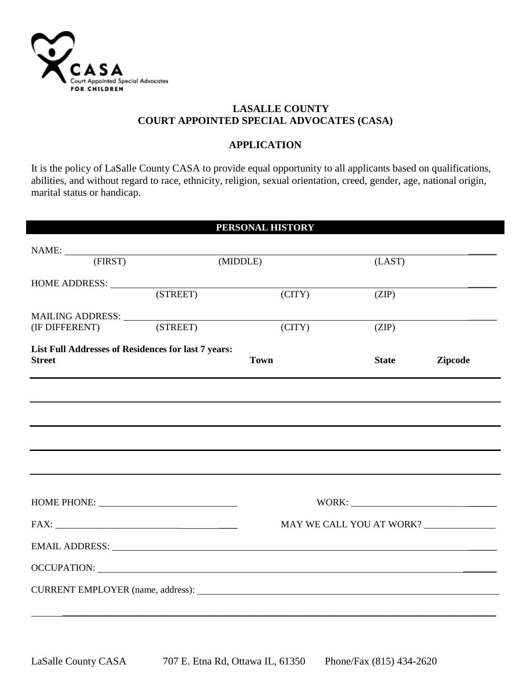

I

## **LASALLE COUNTY COURT APPOINTED SPECIAL ADVOCATES (CASA)**

## **APPLICATION**

It is the policy of LaSalle County CASA to provide equal opportunity to all applicants based on qualifications, abilities, and without regard to race, ethnicity, religion, sexual orientation, creed, gender, age, national origin, marital status or handicap.

|                                                     |                           | PERSONAL HISTORY                                                                                                                                                                                                              |              |                |
|-----------------------------------------------------|---------------------------|-------------------------------------------------------------------------------------------------------------------------------------------------------------------------------------------------------------------------------|--------------|----------------|
|                                                     |                           |                                                                                                                                                                                                                               |              |                |
|                                                     | NAME: (FIRST)<br>(MIDDLE) |                                                                                                                                                                                                                               | (LAST)       |                |
|                                                     |                           |                                                                                                                                                                                                                               |              |                |
| HOME ADDRESS: <u>(STREET)</u>                       |                           | $\overline{(CITY)}$                                                                                                                                                                                                           | (ZIP)        |                |
|                                                     |                           |                                                                                                                                                                                                                               |              |                |
|                                                     |                           | $\angle$ (CITY)                                                                                                                                                                                                               | (ZIP)        |                |
| List Full Addresses of Residences for last 7 years: |                           |                                                                                                                                                                                                                               |              |                |
| <b>Street</b>                                       |                           | <b>Town</b>                                                                                                                                                                                                                   | <b>State</b> | <b>Zipcode</b> |
|                                                     |                           |                                                                                                                                                                                                                               |              |                |
|                                                     |                           |                                                                                                                                                                                                                               |              |                |
|                                                     |                           | MAY WE CALL YOU AT WORK? ______________                                                                                                                                                                                       |              |                |
|                                                     |                           | EMAIL ADDRESS: New York Contract the Contract of the Contract of the Contract of the Contract of the Contract of the Contract of the Contract of the Contract of the Contract of the Contract of the Contract of the Contract |              |                |
|                                                     |                           |                                                                                                                                                                                                                               |              |                |
|                                                     |                           |                                                                                                                                                                                                                               |              |                |
|                                                     |                           |                                                                                                                                                                                                                               |              |                |
|                                                     |                           |                                                                                                                                                                                                                               |              |                |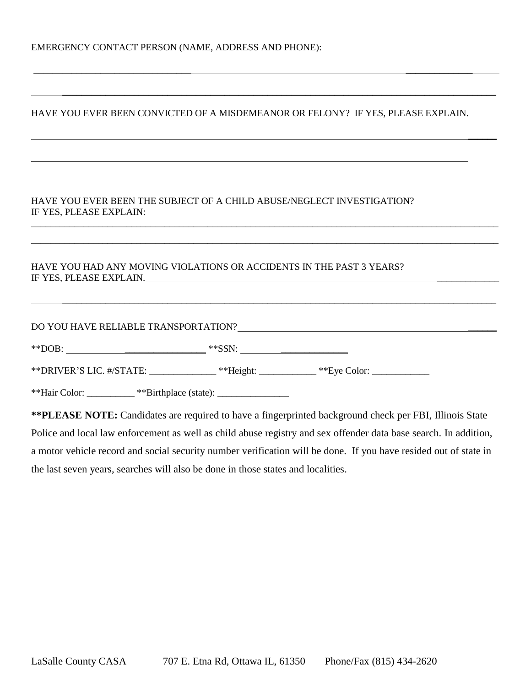| HAVE YOU EVER BEEN CONVICTED OF A MISDEMEANOR OR FELONY? IF YES, PLEASE EXPLAIN.                                                                                                                                                                                                                       |  |  |
|--------------------------------------------------------------------------------------------------------------------------------------------------------------------------------------------------------------------------------------------------------------------------------------------------------|--|--|
| HAVE YOU EVER BEEN THE SUBJECT OF A CHILD ABUSE/NEGLECT INVESTIGATION?<br>IF YES, PLEASE EXPLAIN:                                                                                                                                                                                                      |  |  |
| HAVE YOU HAD ANY MOVING VIOLATIONS OR ACCIDENTS IN THE PAST 3 YEARS?<br>IF YES, PLEASE EXPLAIN. Note and the set of the set of the set of the set of the set of the set of the set of the set of the set of the set of the set of the set of the set of the set of the set of the set of the set of th |  |  |
| DO YOU HAVE RELIABLE TRANSPORTATION? POWER AND THE SERIES OF STATES AND THE SERIES OF STATES AND THE SERIES OF STATES AND THE SERIES OF STATES AND THE SERIES OF STATES AND THE SERIES OF STATES AND THE SERIES OF STATES AND                                                                          |  |  |
|                                                                                                                                                                                                                                                                                                        |  |  |
| **DRIVER'S LIC. #/STATE: _______________**Height: ____________**Eye Color: _________________________                                                                                                                                                                                                   |  |  |
| **Hair Color: __________ **Birthplace (state): _________________________________                                                                                                                                                                                                                       |  |  |

 $\_$ 

\_\_\_\_\_\_\_\_\_\_\_\_\_\_\_\_\_\_\_\_\_\_\_\_\_\_\_\_\_\_\_\_\_\_\_\_\_\_\_\_\_\_\_\_\_\_\_\_\_\_\_\_\_\_\_\_\_\_\_\_\_\_\_\_\_\_\_\_\_\_\_\_\_\_\_\_\_\_\_\_\_\_\_\_\_\_\_\_\_\_\_

**\*\*PLEASE NOTE:** Candidates are required to have a fingerprinted background check per FBI, Illinois State Police and local law enforcement as well as child abuse registry and sex offender data base search. In addition, a motor vehicle record and social security number verification will be done. If you have resided out of state in the last seven years, searches will also be done in those states and localities.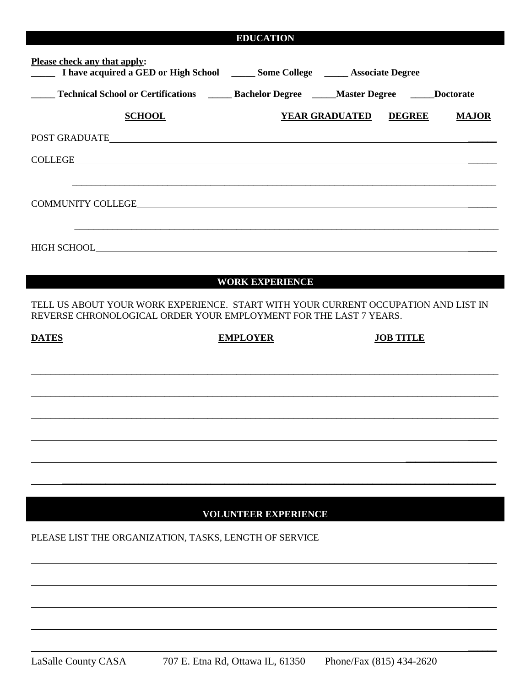| <b>EDUCATION</b> |  |
|------------------|--|
|                  |  |

| <b>Please check any that apply:</b><br>1 have acquired a GED or High School _______ Some College _______ Associate Degree                                                                                                            |                 |                             |                              |                  |              |
|--------------------------------------------------------------------------------------------------------------------------------------------------------------------------------------------------------------------------------------|-----------------|-----------------------------|------------------------------|------------------|--------------|
|                                                                                                                                                                                                                                      |                 |                             |                              |                  |              |
| <b>SCHOOL</b>                                                                                                                                                                                                                        |                 |                             | <b>YEAR GRADUATED DEGREE</b> |                  | <b>MAJOR</b> |
|                                                                                                                                                                                                                                      |                 |                             |                              |                  |              |
|                                                                                                                                                                                                                                      |                 |                             |                              |                  |              |
|                                                                                                                                                                                                                                      |                 |                             |                              |                  |              |
| COMMUNITY COLLEGE <b>EXECUTE A REPORT OF A REPORT OF A REPORT OF A REPORT OF A REPORT OF A REPORT OF A REPORT OF A REPORT OF A REPORT OF A REPORT OF A REPORT OF A REPORT OF A REPORT OF A REPORT OF A REPORT OF A REPORT OF A R</b> |                 |                             |                              |                  |              |
|                                                                                                                                                                                                                                      |                 |                             |                              |                  |              |
|                                                                                                                                                                                                                                      |                 |                             |                              |                  |              |
|                                                                                                                                                                                                                                      |                 |                             |                              |                  |              |
|                                                                                                                                                                                                                                      |                 | <b>WORK EXPERIENCE</b>      |                              |                  |              |
|                                                                                                                                                                                                                                      |                 |                             |                              |                  |              |
| TELL US ABOUT YOUR WORK EXPERIENCE. START WITH YOUR CURRENT OCCUPATION AND LIST IN<br>REVERSE CHRONOLOGICAL ORDER YOUR EMPLOYMENT FOR THE LAST 7 YEARS.                                                                              |                 |                             |                              |                  |              |
| <b>DATES</b>                                                                                                                                                                                                                         | <b>EMPLOYER</b> |                             |                              | <b>JOB TITLE</b> |              |
|                                                                                                                                                                                                                                      |                 |                             |                              |                  |              |
|                                                                                                                                                                                                                                      |                 |                             |                              |                  |              |
|                                                                                                                                                                                                                                      |                 |                             |                              |                  |              |
|                                                                                                                                                                                                                                      |                 |                             |                              |                  |              |
|                                                                                                                                                                                                                                      |                 |                             |                              |                  |              |
|                                                                                                                                                                                                                                      |                 |                             |                              |                  |              |
|                                                                                                                                                                                                                                      |                 |                             |                              |                  |              |
|                                                                                                                                                                                                                                      |                 | <b>VOLUNTEER EXPERIENCE</b> |                              |                  |              |
| PLEASE LIST THE ORGANIZATION, TASKS, LENGTH OF SERVICE                                                                                                                                                                               |                 |                             |                              |                  |              |
|                                                                                                                                                                                                                                      |                 |                             |                              |                  |              |

 $\overline{\phantom{a}}$ 

 $\overline{\phantom{a}}$ 

 $\overline{\phantom{a}}$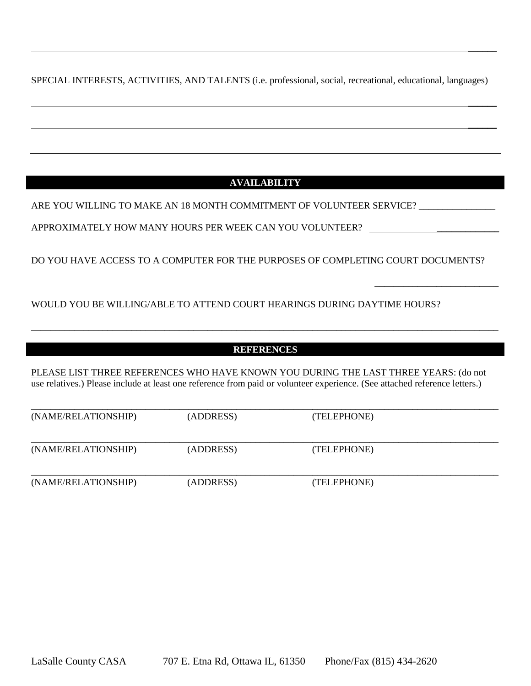SPECIAL INTERESTS, ACTIVITIES, AND TALENTS (i.e. professional, social, recreational, educational, languages)

 $\overline{\phantom{a}}$ 

 $\overline{\phantom{a}}$ 

 $\overline{\phantom{a}}$ 

\_\_\_\_\_\_\_\_\_\_\_\_\_\_\_\_\_\_\_\_\_\_\_\_\_\_

# **AVAILABILITY**

ARE YOU WILLING TO MAKE AN 18 MONTH COMMITMENT OF VOLUNTEER SERVICE? \_\_\_\_\_\_\_\_\_\_\_\_

APPROXIMATELY HOW MANY HOURS PER WEEK CAN YOU VOLUNTEER?

DO YOU HAVE ACCESS TO A COMPUTER FOR THE PURPOSES OF COMPLETING COURT DOCUMENTS?

# WOULD YOU BE WILLING/ABLE TO ATTEND COURT HEARINGS DURING DAYTIME HOURS?

## **REFERENCES**

\_\_\_\_\_\_\_\_\_\_\_\_\_\_\_\_\_\_\_\_\_\_\_\_\_\_\_\_\_\_\_\_\_\_\_\_\_\_\_\_\_\_\_\_\_\_\_\_\_\_\_\_\_\_\_\_\_\_\_\_\_\_\_\_\_\_\_\_\_\_\_\_\_\_\_\_\_\_\_\_\_\_\_\_\_\_\_\_\_\_\_\_\_\_\_\_\_\_

PLEASE LIST THREE REFERENCES WHO HAVE KNOWN YOU DURING THE LAST THREE YEARS: (do not use relatives.) Please include at least one reference from paid or volunteer experience. (See attached reference letters.)

| (NAME/RELATIONSHIP) | (ADDRESS) | (TELEPHONE) |  |
|---------------------|-----------|-------------|--|
| (NAME/RELATIONSHIP) | (ADDRESS) | (TELEPHONE) |  |
| (NAME/RELATIONSHIP) | (ADDRESS) | (TELEPHONE) |  |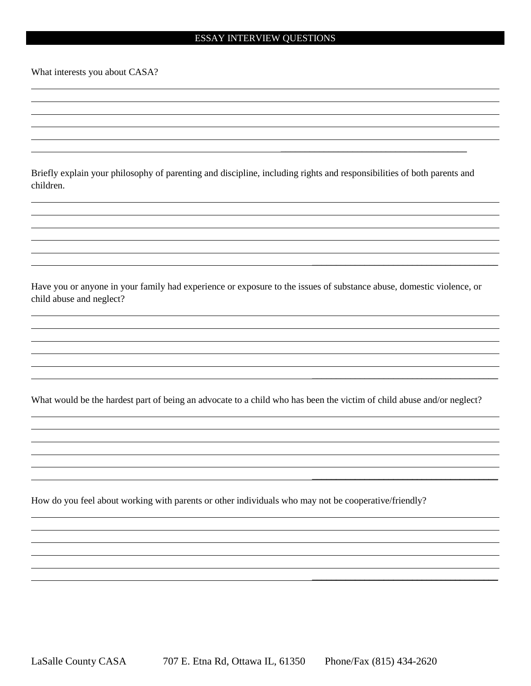#### ESSAY INTERVIEW QUESTIONS

What interests you about CASA?

Briefly explain your philosophy of parenting and discipline, including rights and responsibilities of both parents and children.

\_\_\_\_\_\_\_\_\_\_\_\_\_\_\_\_\_\_\_\_\_\_\_\_\_\_\_\_\_\_\_\_\_\_\_\_\_\_\_

\_\_\_\_\_\_\_\_\_\_\_\_\_\_\_\_\_\_\_\_\_\_\_\_\_\_\_\_\_\_\_\_\_\_\_\_\_\_\_

\_\_\_\_\_\_\_\_\_\_\_\_\_\_\_\_\_\_\_\_\_\_\_\_\_\_\_\_\_\_\_\_\_\_\_\_\_\_\_

\_\_\_\_\_\_\_\_\_\_\_\_\_\_\_\_\_\_\_\_\_\_\_\_\_\_\_\_\_\_\_\_\_\_\_\_\_\_\_

 $\overline{\phantom{a}}$  , where  $\overline{\phantom{a}}$  , where  $\overline{\phantom{a}}$  , where  $\overline{\phantom{a}}$  , where  $\overline{\phantom{a}}$ 

Have you or anyone in your family had experience or exposure to the issues of substance abuse, domestic violence, or child abuse and neglect?

What would be the hardest part of being an advocate to a child who has been the victim of child abuse and/or neglect?

How do you feel about working with parents or other individuals who may not be cooperative/friendly?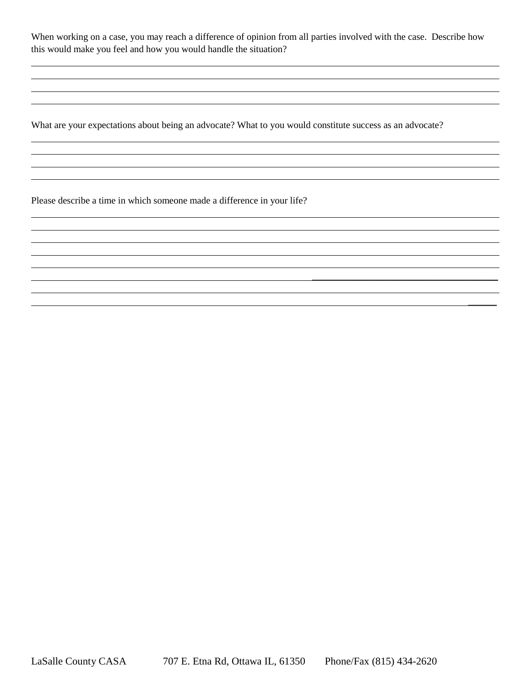When working on a case, you may reach a difference of opinion from all parties involved with the case. Describe how this would make you feel and how you would handle the situation?

 $\overline{\phantom{a}}$  , where  $\overline{\phantom{a}}$  , where  $\overline{\phantom{a}}$  , where  $\overline{\phantom{a}}$  , where  $\overline{\phantom{a}}$ 

 $\overline{\phantom{a}}$ 

What are your expectations about being an advocate? What to you would constitute success as an advocate?

Please describe a time in which someone made a difference in your life?